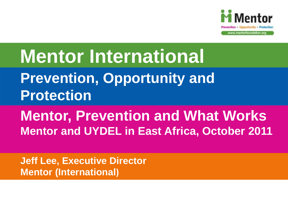

# **Mentor International Prevention, Opportunity and Protection**

**Mentor, Prevention and What Works Mentor and UYDEL in East Africa, October 2011**

**Jeff Lee, Executive Director Mentor (International)**

**Jeff Lee**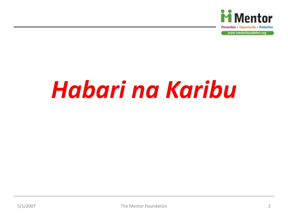

www.mentorfoundation.org

# *Habari na Karibu*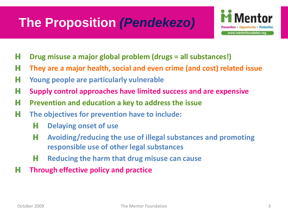# **The Proposition** *(Pendekezo)*



- м **Drug misuse a major global problem (drugs = all substances!)**
- м **They are a major health, social and even crime (and cost) related issue**
- м **Young people are particularly vulnerable**
- м **Supply control approaches have limited success and are expensive**
- м **Prevention and education a key to address the issue**
- м **The objectives for prevention have to include:**
	- м **Delaying onset of use**
	- м **Avoiding/reducing the use of illegal substances and promoting responsible use of other legal substances**
	- м **Reducing the harm that drug misuse can cause**
- м **Through effective policy and practice**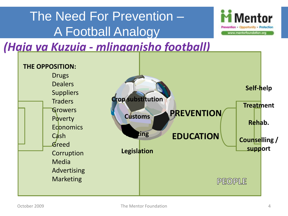# The Need For Prevention – A Football Analogy



#### *(Haja ya Kuzuia - mlinganisho football)*

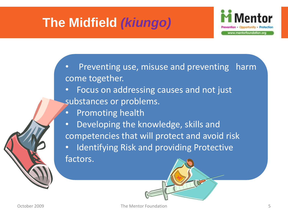# **The Midfield** *(kiungo)*



- Preventing use, misuse and preventing harm come together.
- Focus on addressing causes and not just
- substances or problems.
- Promoting health
- Developing the knowledge, skills and competencies that will protect and avoid risk
- Identifying Risk and providing Protective factors.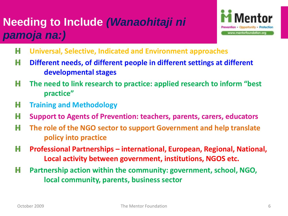## **Needing to Include** *(Wanaohitaji ni pamoja na:)*



- м **Universal, Selective, Indicated and Environment approaches**
- м **Different needs, of different people in different settings at different developmental stages**
- м **The need to link research to practice: applied research to inform "best practice"**
- м **Training and Methodology**
- м **Support to Agents of Prevention: teachers, parents, carers, educators**
- м **The role of the NGO sector to support Government and help translate policy into practice**
- м **Professional Partnerships – international, European, Regional, National, Local activity between government, institutions, NGOS etc.**
- м **Partnership action within the community: government, school, NGO, local community, parents, business sector**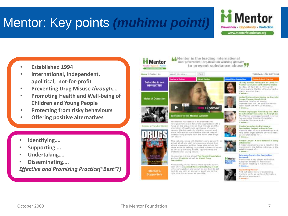# Mentor: Key points *(muhimu pointi)*



- **Established 1994**
- **International, independent, apolitical, not-for-profit**
- **Preventing Drug Misuse** *through….*
- **Promoting Health and Well-being of Children and Young People**
- **Protecting from risky behaviours**
- **Offering positive alternatives**
- **Identifying….**
- **Supporting….**
- **Undertaking….**
- **Disseminating….**

*Effective and Promising Practice("Best"?)*

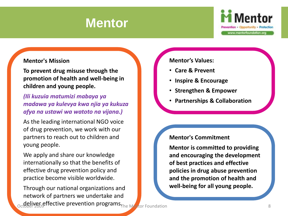



#### **Mentor's Mission**

**To prevent drug misuse through the promotion of health and well-being in children and young people.**

*(Ili kuzuia matumizi mabaya ya madawa ya kulevya kwa njia ya kukuza afya na ustawi wa watoto na vijana.)*

As the leading international NGO voice of drug prevention, we work with our partners to reach out to children and young people.

We apply and share our knowledge internationally so that the benefits of effective drug prevention policy and practice become visible worldwide.

Through our national organizations and network of partners we undertake and October 26 october 1996 and the Mentor Foundation Section 2009 1997 1998 and 2009 1998 and 2009 1999 1999 1999 1

#### **Mentor's Values:**

- **Care & Prevent**
- **Inspire & Encourage**
- **Strengthen & Empower**
- **Partnerships & Collaboration**

#### **Mentor's Commitment**

**Mentor is committed to providing and encouraging the development of best practices and effective policies in drug abuse prevention and the promotion of health and well-being for all young people.**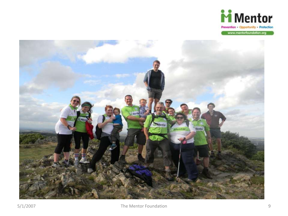

www.mentorfoundation.org

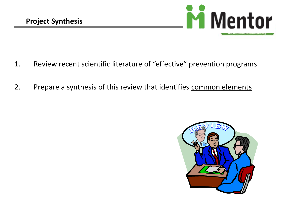

- 1. Review recent scientific literature of "effective" prevention programs
- 2. Prepare a synthesis of this review that identifies common elements

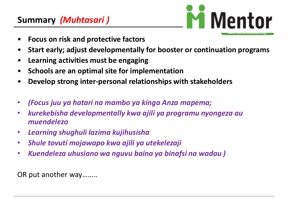#### **Summary** *(Muhtasari )*



- **Focus on risk and protective factors**
- **Start early; adjust developmentally for booster or continuation programs**
- **Learning activities must be engaging**
- **Schools are an optimal site for implementation**
- **Develop strong inter-personal relationships with stakeholders**
- *(Focus juu ya hatari na mambo ya kinga Anza mapema;*
- *kurekebisha developmentally kwa ajili ya programu nyongeza au muendelezo*
- *Learning shughuli lazima kujihusisha*
- *Shule tovuti mojawapo kwa ajili ya utekelezaji*
- *Kuendeleza uhusiano wa nguvu baina ya binafsi na wadau )*

OR put another way……..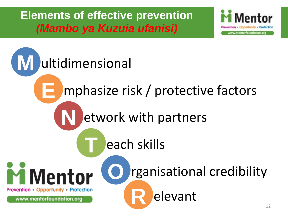**Elements of effective prevention** *(Mambo ya Kuzuia ufanisi)*



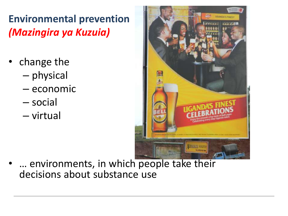### **Environmental prevention** *(Mazingira ya Kuzuia)*

- change the
	- physical
	- economic
	- social
	- virtual



... environments, in which people take their decisions about substance use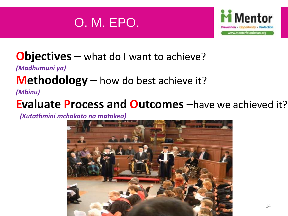



### **Objectives –** what do I want to achieve?

*(Madhumuni ya)*

## **Methodology –** how do best achieve it?

*(Mbinu)*

## **Evaluate Process and Outcomes** –have we achieved it?

*(Kutathmini mchakato na matokeo)*

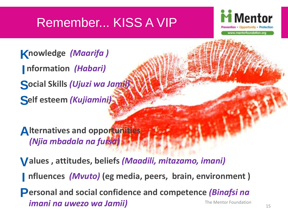# Remember... KISS A VIP



**K nowledge** *(Maarifa )* **I nformation** *(Habari)* **S ocial Skills** *(Ujuzi wa Jamii)*

**S elf esteem** *(Kujiamini)*

**A lternatives and opportunities**  *(Njia mbadala na fursa)*

**V alues , attitudes, beliefs** *(Maadili, mitazamo, imani)* 

**I nfluences** *(Mvuto)* **(eg media, peers, brain, environment )**

**P ersonal and social confidence and competence** *(Binafsi na imani na uwezo wa Jamii)* 15 ani 15 ani 15 ani 16 Mentor Foundation 15 The Mentor Foundation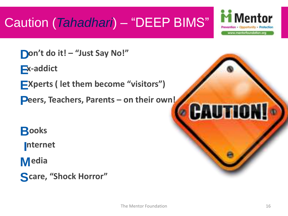# Caution (*Tahadhari*) – "DEEP BIMS"



CAUTIO

**D on't do it! – "Just Say No!"**

**E x-addict**

**E Xperts ( let them become "visitors")**

**P eers, Teachers, Parents – on their own!**

**B ooks**

**I nternet**

**M edia**

**S care, "Shock Horror"**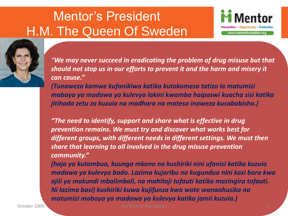# Mentor's President H.M. The Queen Of Sweden





*"We may never succeed in eradicating the problem of drug misuse but that should not stop us in our efforts to prevent it and the harm and misery it can cause."*

*(Tunaweza kamwe kufanikiwa katika kutokomeza tatizo la matumizi mabaya ya madawa ya kulevya lakini kwamba haipaswi kuacha sisi katika jitihada zetu za kuzuia na madhara na mateso inaweza kusababisha.)*

*"The need to identify, support and share what is effective in drug prevention remains. We must try and discover what works best for different groups, with different needs in different settings. We must then share that learning to all involved in the drug misuse prevention community."*

*(haja ya kutambua, kuunga mkono na kushiriki nini ufanisi katika kuzuia madawa ya kulevya bado. Lazima kujaribu na kugundua nini kazi bora kwa ajili ya makundi mbalimbali, na mahitaji tofauti katika mazingira tofauti. Ni lazima basi) kushiriki kuwa kujifunza kwa wote wanaohusika na matumizi mabaya ya madawa ya kulevya katika jamii kuzuia.)*

**October 2009 The Mentor Foundation** 17 Apple 2009 The Mentor Foundation 17 Apple 2009 The Mentor Foundation 17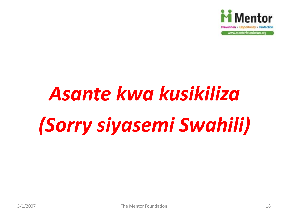

# *Asante kwa kusikiliza (Sorry siyasemi Swahili)*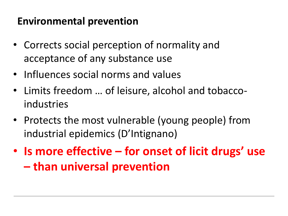#### **Environmental prevention**

- Corrects social perception of normality and acceptance of any substance use
- Show control normes and values • Influences social norms and values
- Limits freedom ... of leisure, alcohol and tobacco-… and focus more on drunkenness and cannabis instead? industries
- Protects the most vulnerable (young people) from industrial epidemics (D'Intignano)
- **Is more effective – for onset of licit drugs' use – than universal prevention**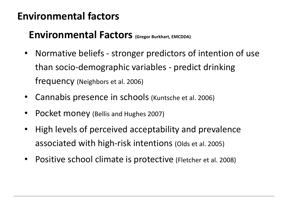#### **Environmental factors**

#### **Environmental Factors (Gregor Burkhart, EMCDDA)**

- Normative beliefs stronger predictors of intention of use than socio-demographic variables - predict drinking frequency (Neighbors et al. 2006)
- Cannabis presence in schools (Kuntsche et al. 2006)
- Pocket money (Bellis and Hughes 2007)
- High levels of perceived acceptability and prevalence associated with high-risk intentions (Olds et al. 2005)
- Positive school climate is protective (Fletcher et al. 2008)